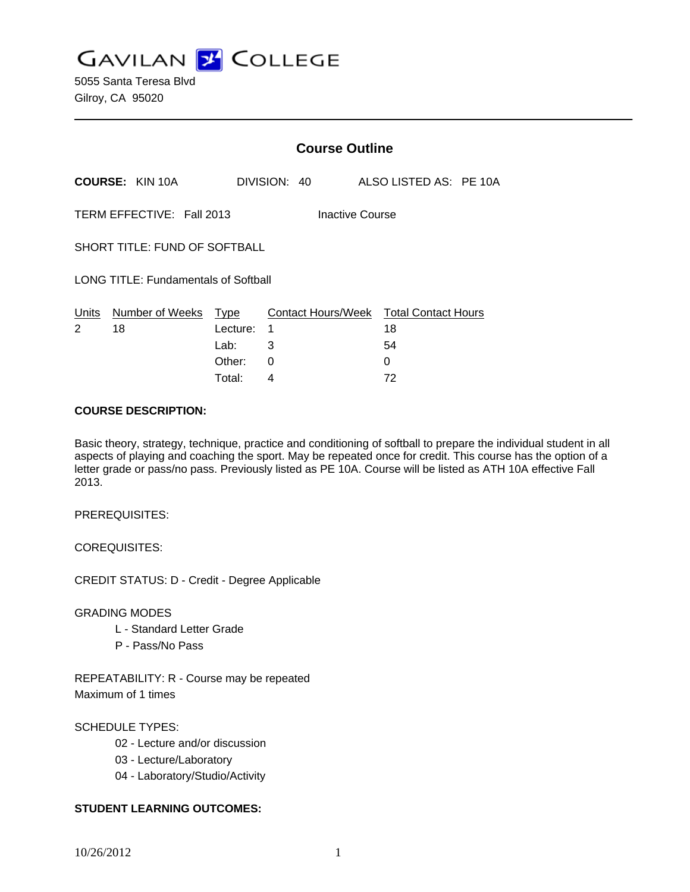**GAVILAN J COLLEGE** 

|                                              |                        | <b>Course Outline</b>                     |              |  |                    |                                             |  |  |
|----------------------------------------------|------------------------|-------------------------------------------|--------------|--|--------------------|---------------------------------------------|--|--|
|                                              | <b>COURSE: KIN 10A</b> |                                           | DIVISION: 40 |  |                    | ALSO LISTED AS: PE 10A                      |  |  |
| TERM EFFECTIVE: Fall 2013<br>Inactive Course |                        |                                           |              |  |                    |                                             |  |  |
| SHORT TITLE: FUND OF SOFTBALL                |                        |                                           |              |  |                    |                                             |  |  |
| <b>LONG TITLE: Fundamentals of Softball</b>  |                        |                                           |              |  |                    |                                             |  |  |
| Units<br>2                                   | Number of Weeks<br>18  | <b>Type</b><br>Lecture:<br>Lab:<br>Other: | 1<br>3<br>0  |  | Contact Hours/Week | <b>Total Contact Hours</b><br>18<br>54<br>0 |  |  |
|                                              |                        |                                           |              |  |                    |                                             |  |  |

Total: 4 72

### **COURSE DESCRIPTION:**

Basic theory, strategy, technique, practice and conditioning of softball to prepare the individual student in all aspects of playing and coaching the sport. May be repeated once for credit. This course has the option of a letter grade or pass/no pass. Previously listed as PE 10A. Course will be listed as ATH 10A effective Fall 2013.

PREREQUISITES:

COREQUISITES:

CREDIT STATUS: D - Credit - Degree Applicable

GRADING MODES

- L Standard Letter Grade
- P Pass/No Pass

REPEATABILITY: R - Course may be repeated Maximum of 1 times

## SCHEDULE TYPES:

- 02 Lecture and/or discussion
- 03 Lecture/Laboratory
- 04 Laboratory/Studio/Activity

## **STUDENT LEARNING OUTCOMES:**

10/26/2012 1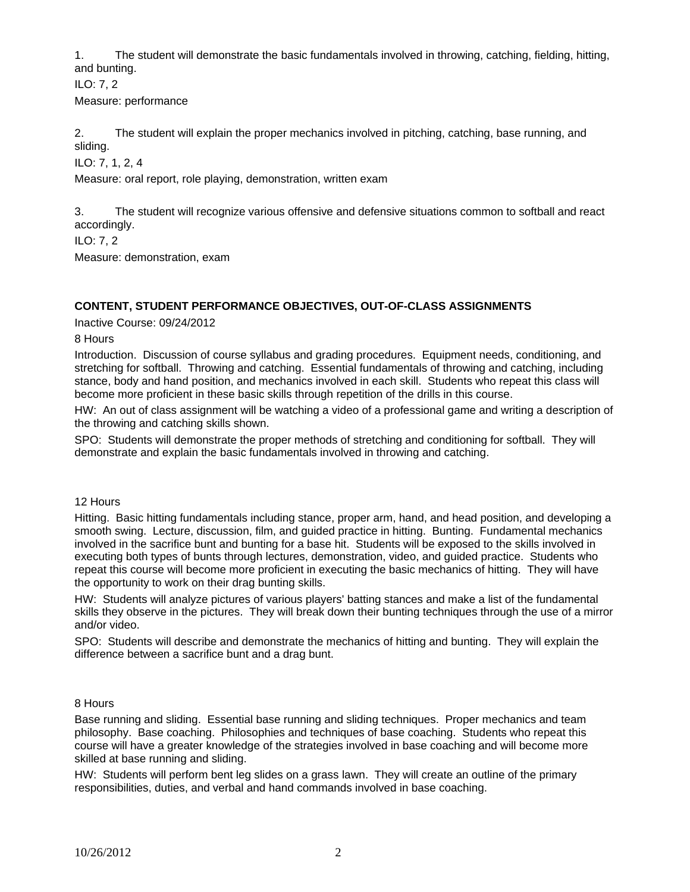1. The student will demonstrate the basic fundamentals involved in throwing, catching, fielding, hitting, and bunting.

ILO: 7, 2 Measure: performance

2. The student will explain the proper mechanics involved in pitching, catching, base running, and sliding.

ILO: 7, 1, 2, 4

Measure: oral report, role playing, demonstration, written exam

3. The student will recognize various offensive and defensive situations common to softball and react accordingly.

ILO: 7, 2

Measure: demonstration, exam

## **CONTENT, STUDENT PERFORMANCE OBJECTIVES, OUT-OF-CLASS ASSIGNMENTS**

Inactive Course: 09/24/2012

8 Hours

Introduction. Discussion of course syllabus and grading procedures. Equipment needs, conditioning, and stretching for softball. Throwing and catching. Essential fundamentals of throwing and catching, including stance, body and hand position, and mechanics involved in each skill. Students who repeat this class will become more proficient in these basic skills through repetition of the drills in this course.

HW: An out of class assignment will be watching a video of a professional game and writing a description of the throwing and catching skills shown.

SPO: Students will demonstrate the proper methods of stretching and conditioning for softball. They will demonstrate and explain the basic fundamentals involved in throwing and catching.

12 Hours

Hitting. Basic hitting fundamentals including stance, proper arm, hand, and head position, and developing a smooth swing. Lecture, discussion, film, and guided practice in hitting. Bunting. Fundamental mechanics involved in the sacrifice bunt and bunting for a base hit. Students will be exposed to the skills involved in executing both types of bunts through lectures, demonstration, video, and guided practice. Students who repeat this course will become more proficient in executing the basic mechanics of hitting. They will have the opportunity to work on their drag bunting skills.

HW: Students will analyze pictures of various players' batting stances and make a list of the fundamental skills they observe in the pictures. They will break down their bunting techniques through the use of a mirror and/or video.

SPO: Students will describe and demonstrate the mechanics of hitting and bunting. They will explain the difference between a sacrifice bunt and a drag bunt.

8 Hours

Base running and sliding. Essential base running and sliding techniques. Proper mechanics and team philosophy. Base coaching. Philosophies and techniques of base coaching. Students who repeat this course will have a greater knowledge of the strategies involved in base coaching and will become more skilled at base running and sliding.

HW: Students will perform bent leg slides on a grass lawn. They will create an outline of the primary responsibilities, duties, and verbal and hand commands involved in base coaching.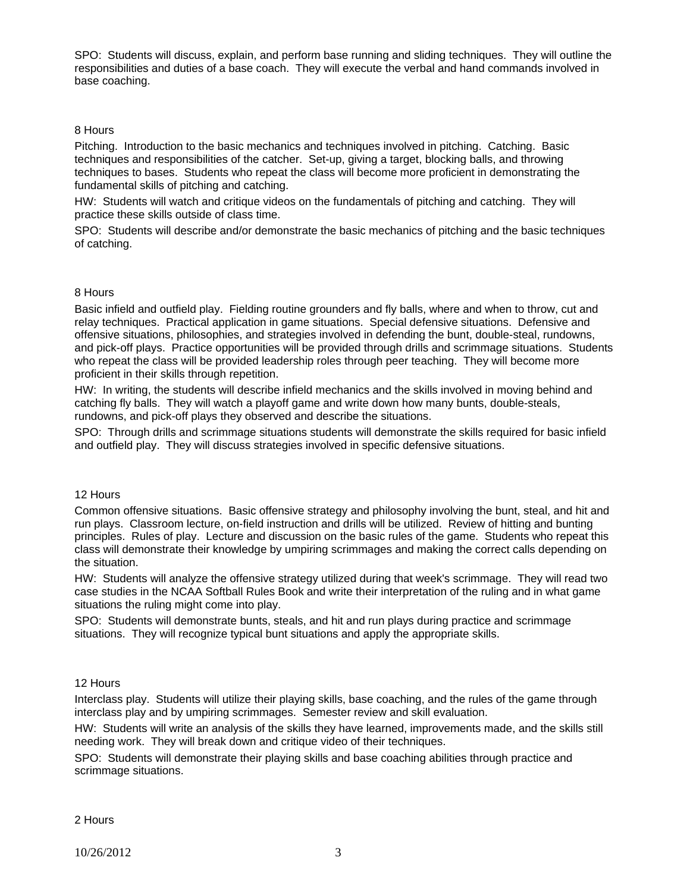SPO: Students will discuss, explain, and perform base running and sliding techniques. They will outline the responsibilities and duties of a base coach. They will execute the verbal and hand commands involved in base coaching.

## 8 Hours

Pitching. Introduction to the basic mechanics and techniques involved in pitching. Catching. Basic techniques and responsibilities of the catcher. Set-up, giving a target, blocking balls, and throwing techniques to bases. Students who repeat the class will become more proficient in demonstrating the fundamental skills of pitching and catching.

HW: Students will watch and critique videos on the fundamentals of pitching and catching. They will practice these skills outside of class time.

SPO: Students will describe and/or demonstrate the basic mechanics of pitching and the basic techniques of catching.

#### 8 Hours

Basic infield and outfield play. Fielding routine grounders and fly balls, where and when to throw, cut and relay techniques. Practical application in game situations. Special defensive situations. Defensive and offensive situations, philosophies, and strategies involved in defending the bunt, double-steal, rundowns, and pick-off plays. Practice opportunities will be provided through drills and scrimmage situations. Students who repeat the class will be provided leadership roles through peer teaching. They will become more proficient in their skills through repetition.

HW: In writing, the students will describe infield mechanics and the skills involved in moving behind and catching fly balls. They will watch a playoff game and write down how many bunts, double-steals, rundowns, and pick-off plays they observed and describe the situations.

SPO: Through drills and scrimmage situations students will demonstrate the skills required for basic infield and outfield play. They will discuss strategies involved in specific defensive situations.

#### 12 Hours

Common offensive situations. Basic offensive strategy and philosophy involving the bunt, steal, and hit and run plays. Classroom lecture, on-field instruction and drills will be utilized. Review of hitting and bunting principles. Rules of play. Lecture and discussion on the basic rules of the game. Students who repeat this class will demonstrate their knowledge by umpiring scrimmages and making the correct calls depending on the situation.

HW: Students will analyze the offensive strategy utilized during that week's scrimmage. They will read two case studies in the NCAA Softball Rules Book and write their interpretation of the ruling and in what game situations the ruling might come into play.

SPO: Students will demonstrate bunts, steals, and hit and run plays during practice and scrimmage situations. They will recognize typical bunt situations and apply the appropriate skills.

#### 12 Hours

Interclass play. Students will utilize their playing skills, base coaching, and the rules of the game through interclass play and by umpiring scrimmages. Semester review and skill evaluation.

HW: Students will write an analysis of the skills they have learned, improvements made, and the skills still needing work. They will break down and critique video of their techniques.

SPO: Students will demonstrate their playing skills and base coaching abilities through practice and scrimmage situations.

#### 2 Hours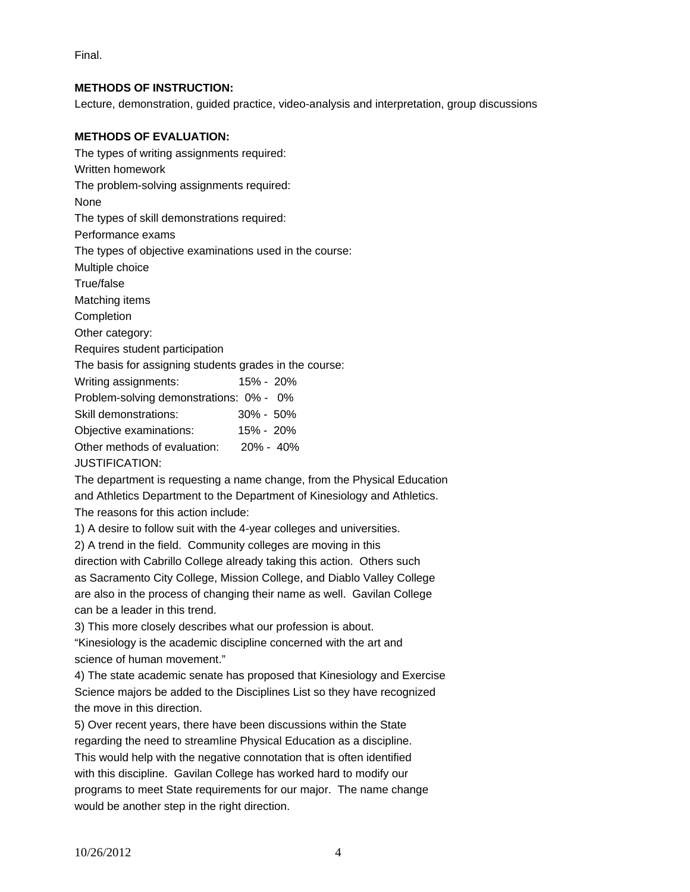Final.

# **METHODS OF INSTRUCTION:**

Lecture, demonstration, guided practice, video-analysis and interpretation, group discussions

## **METHODS OF EVALUATION:**

The types of writing assignments required: Written homework The problem-solving assignments required: None The types of skill demonstrations required: Performance exams The types of objective examinations used in the course: Multiple choice True/false Matching items Completion Other category: Requires student participation The basis for assigning students grades in the course: Writing assignments: 15% - 20% Problem-solving demonstrations: 0% - 0% Skill demonstrations: 30% - 50% Objective examinations: 15% - 20% Other methods of evaluation: 20% - 40% JUSTIFICATION:

The department is requesting a name change, from the Physical Education and Athletics Department to the Department of Kinesiology and Athletics. The reasons for this action include:

1) A desire to follow suit with the 4-year colleges and universities.

2) A trend in the field. Community colleges are moving in this

direction with Cabrillo College already taking this action. Others such as Sacramento City College, Mission College, and Diablo Valley College are also in the process of changing their name as well. Gavilan College can be a leader in this trend.

3) This more closely describes what our profession is about.

"Kinesiology is the academic discipline concerned with the art and science of human movement."

4) The state academic senate has proposed that Kinesiology and Exercise Science majors be added to the Disciplines List so they have recognized the move in this direction.

5) Over recent years, there have been discussions within the State regarding the need to streamline Physical Education as a discipline. This would help with the negative connotation that is often identified with this discipline. Gavilan College has worked hard to modify our programs to meet State requirements for our major. The name change would be another step in the right direction.